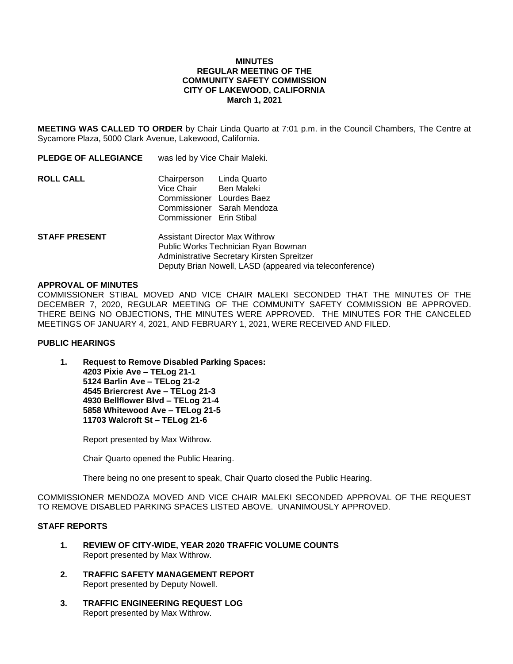### **MINUTES REGULAR MEETING OF THE COMMUNITY SAFETY COMMISSION CITY OF LAKEWOOD, CALIFORNIA March 1, 2021**

**MEETING WAS CALLED TO ORDER** by Chair Linda Quarto at 7:01 p.m. in the Council Chambers, The Centre at Sycamore Plaza, 5000 Clark Avenue, Lakewood, California.

| <b>PLEDGE OF ALLEGIANCE</b> | was led by Vice Chair Maleki.                                                                   |                                          |
|-----------------------------|-------------------------------------------------------------------------------------------------|------------------------------------------|
| <b>ROLL CALL</b>            | Chairperson Linda Quarto<br>Vice Chair<br>Commissioner Lourdes Baez<br>Commissioner Erin Stibal | Ben Maleki<br>Commissioner Sarah Mendoza |
| <b>STAFF PRESENT</b>        | Assistant Director Max Withrow<br>Public Works Technician Ryan Bowman                           |                                          |

#### **APPROVAL OF MINUTES**

COMMISSIONER STIBAL MOVED AND VICE CHAIR MALEKI SECONDED THAT THE MINUTES OF THE DECEMBER 7, 2020, REGULAR MEETING OF THE COMMUNITY SAFETY COMMISSION BE APPROVED. THERE BEING NO OBJECTIONS, THE MINUTES WERE APPROVED. THE MINUTES FOR THE CANCELED MEETINGS OF JANUARY 4, 2021, AND FEBRUARY 1, 2021, WERE RECEIVED AND FILED.

Deputy Brian Nowell, LASD (appeared via teleconference)

Administrative Secretary Kirsten Spreitzer

### **PUBLIC HEARINGS**

**1. Request to Remove Disabled Parking Spaces: 4203 Pixie Ave – TELog 21-1 5124 Barlin Ave – TELog 21-2 4545 Briercrest Ave – TELog 21-3 4930 Bellflower Blvd – TELog 21-4 5858 Whitewood Ave – TELog 21-5 11703 Walcroft St – TELog 21-6**

Report presented by Max Withrow.

Chair Quarto opened the Public Hearing.

There being no one present to speak, Chair Quarto closed the Public Hearing.

COMMISSIONER MENDOZA MOVED AND VICE CHAIR MALEKI SECONDED APPROVAL OF THE REQUEST TO REMOVE DISABLED PARKING SPACES LISTED ABOVE. UNANIMOUSLY APPROVED.

## **STAFF REPORTS**

- **1. REVIEW OF CITY-WIDE, YEAR 2020 TRAFFIC VOLUME COUNTS** Report presented by Max Withrow.
- **2. TRAFFIC SAFETY MANAGEMENT REPORT** Report presented by Deputy Nowell.
- **3. TRAFFIC ENGINEERING REQUEST LOG** Report presented by Max Withrow.